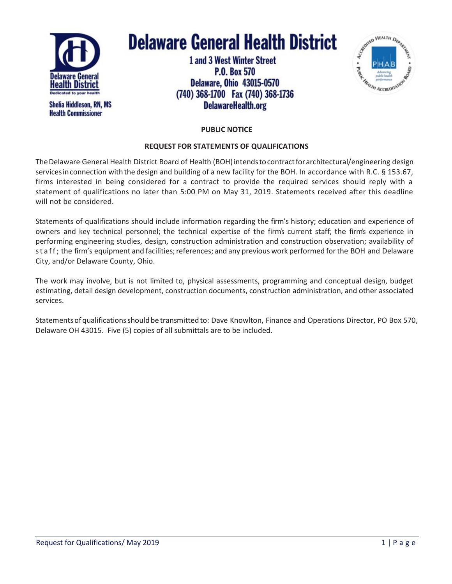

**Health Commissioner** 

**Delaware General Health District** 

**1 and 3 West Winter Street P.O. Box 570 Delaware, Ohio 43015-0570** (740) 368-1700 Fax (740) 368-1736 DelawareHealth.org



# **PUBLIC NOTICE**

## **REQUEST FOR STATEMENTS OF QUALIFICATIONS**

The Delaware General Health District Board of Health (BOH) intends to contract for architectural/engineering design services in connection with the design and building of a new facility for the BOH. In accordance with R.C. § 153.67, firms interested in being considered for a contract to provide the required services should reply with a statement of qualifications no later than 5:00 PM on May 31, 2019. Statements received after this deadline will not be considered.

Statements of qualifications should include information regarding the firm's history; education and experience of owners and key technical personnel; the technical expertise of the firm's current staff; the firm's experience in performing engineering studies, design, construction administration and construction observation; availability of st a f f; the firm's equipment and facilities; references; and any previous work performed for the BOH and Delaware City, and/or Delaware County, Ohio.

The work may involve, but is not limited to, physical assessments, programming and conceptual design, budget estimating, detail design development, construction documents, construction administration, and other associated services.

Statementsofqualificationsshouldbe transmittedto: Dave Knowlton, Finance and Operations Director, PO Box 570, Delaware OH 43015. Five (5) copies of all submittals are to be included.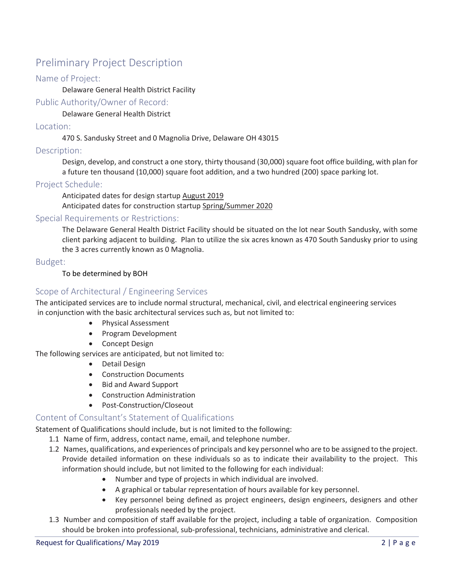# Preliminary Project Description

# Name of Project:

Delaware General Health District Facility

Public Authority/Owner of Record:

Delaware General Health District

#### Location:

470 S. Sandusky Street and 0 Magnolia Drive, Delaware OH 43015

## Description:

Design, develop, and construct a one story, thirty thousand (30,000) square foot office building, with plan for a future ten thousand (10,000) square foot addition, and a two hundred (200) space parking lot.

#### Project Schedule:

Anticipated dates for design startup August 2019 Anticipated dates for construction startup Spring/Summer 2020

#### Special Requirements or Restrictions:

The Delaware General Health District Facility should be situated on the lot near South Sandusky, with some client parking adjacent to building. Plan to utilize the six acres known as 470 South Sandusky prior to using the 3 acres currently known as 0 Magnolia.

#### Budget:

#### To be determined by BOH

# Scope of Architectural / Engineering Services

The anticipated services are to include normal structural, mechanical, civil, and electrical engineering services in conjunction with the basic architectural services such as, but not limited to:

- Physical Assessment
- Program Development
- Concept Design

The following services are anticipated, but not limited to:

- Detail Design
- Construction Documents
- Bid and Award Support
- Construction Administration
- Post-Construction/Closeout

# Content of Consultant's Statement of Qualifications

Statement of Qualifications should include, but is not limited to the following:

- 1.1 Name of firm, address, contact name, email, and telephone number.
- 1.2 Names, qualifications, and experiences of principals and key personnel who are to be assigned to the project. Provide detailed information on these individuals so as to indicate their availability to the project. This information should include, but not limited to the following for each individual:
	- Number and type of projects in which individual are involved.
	- A graphical or tabular representation of hours available for key personnel.
	- Key personnel being defined as project engineers, design engineers, designers and other professionals needed by the project.
- 1.3 Number and composition of staff available for the project, including a table of organization. Composition should be broken into professional, sub-professional, technicians, administrative and clerical.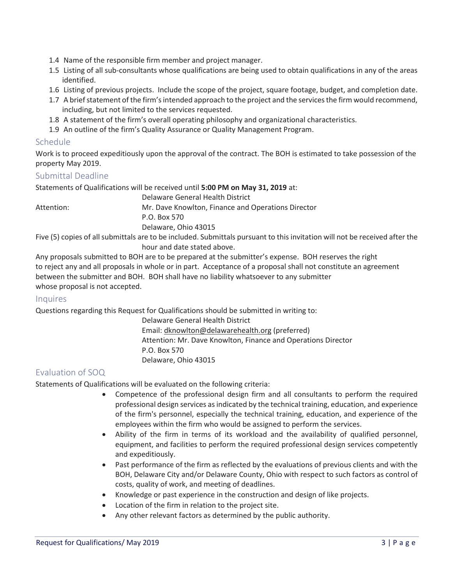- 1.4 Name of the responsible firm member and project manager.
- 1.5 Listing of all sub-consultants whose qualifications are being used to obtain qualifications in any of the areas identified.
- 1.6 Listing of previous projects. Include the scope of the project, square footage, budget, and completion date.
- 1.7 A brief statement of the firm's intended approach to the project and the services the firm would recommend, including, but not limited to the services requested.
- 1.8 A statement of the firm's overall operating philosophy and organizational characteristics.
- 1.9 An outline of the firm's Quality Assurance or Quality Management Program.

## Schedule

Work is to proceed expeditiously upon the approval of the contract. The BOH is estimated to take possession of the property May 2019.

## Submittal Deadline

Statements of Qualifications will be received until **5:00 PM on May 31, 2019** at:

Delaware General Health District Attention: Mr. Dave Knowlton, Finance and Operations Director P.O. Box 570 Delaware, Ohio 43015

Five (5) copies of all submittals are to be included. Submittals pursuant to this invitation will not be received after the hour and date stated above.

Any proposals submitted to BOH are to be prepared at the submitter's expense. BOH reserves the right to reject any and all proposals in whole or in part. Acceptance of a proposal shall not constitute an agreement between the submitter and BOH. BOH shall have no liability whatsoever to any submitter whose proposal is not accepted.

## **Inquires**

Questions regarding this Request for Qualifications should be submitted in writing to:

Delaware General Health District Email: dknowlton@delawarehealth.org (preferred) Attention: Mr. Dave Knowlton, Finance and Operations Director P.O. Box 570 Delaware, Ohio 43015

# Evaluation of SOQ

Statements of Qualifications will be evaluated on the following criteria:

- Competence of the professional design firm and all consultants to perform the required professional design services as indicated by the technical training, education, and experience of the firm's personnel, especially the technical training, education, and experience of the employees within the firm who would be assigned to perform the services.
- Ability of the firm in terms of its workload and the availability of qualified personnel, equipment, and facilities to perform the required professional design services competently and expeditiously.
- Past performance of the firm as reflected by the evaluations of previous clients and with the BOH, Delaware City and/or Delaware County, Ohio with respect to such factors as control of costs, quality of work, and meeting of deadlines.
- Knowledge or past experience in the construction and design of like projects.
- Location of the firm in relation to the project site.
- Any other relevant factors as determined by the public authority.